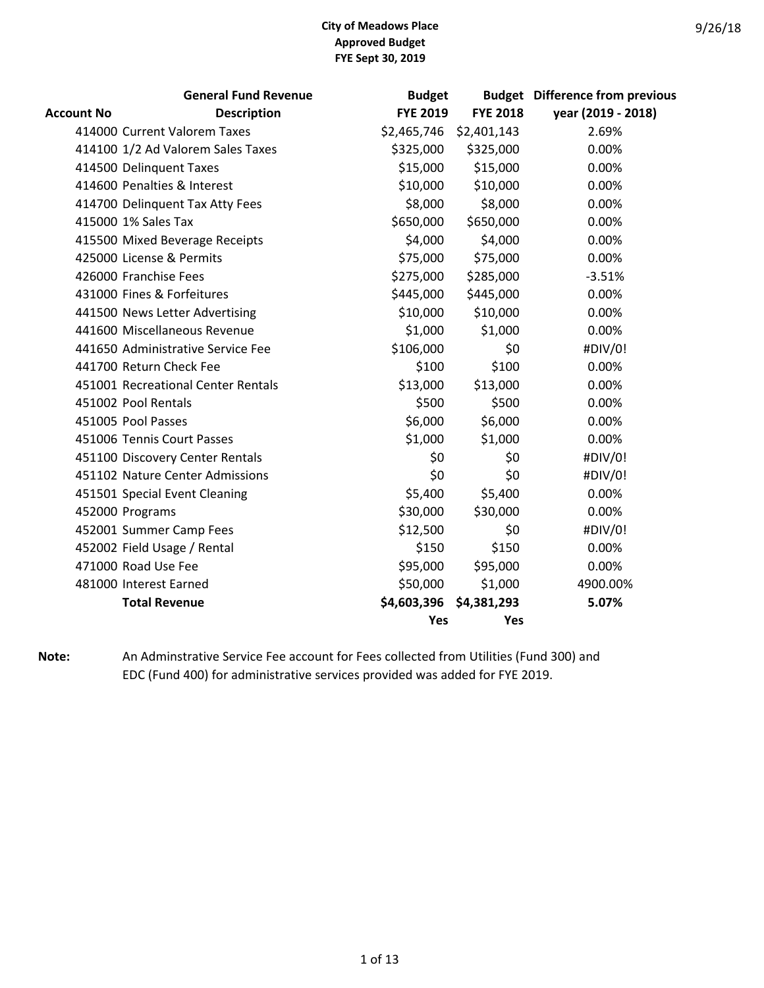|                   | <b>General Fund Revenue</b>        | <b>Budget</b>   |                 | <b>Budget</b> Difference from previous |
|-------------------|------------------------------------|-----------------|-----------------|----------------------------------------|
| <b>Account No</b> | <b>Description</b>                 | <b>FYE 2019</b> | <b>FYE 2018</b> | year (2019 - 2018)                     |
|                   | 414000 Current Valorem Taxes       | \$2,465,746     | \$2,401,143     | 2.69%                                  |
|                   | 414100 1/2 Ad Valorem Sales Taxes  | \$325,000       | \$325,000       | 0.00%                                  |
|                   | 414500 Delinquent Taxes            | \$15,000        | \$15,000        | 0.00%                                  |
|                   | 414600 Penalties & Interest        | \$10,000        | \$10,000        | 0.00%                                  |
|                   | 414700 Delinquent Tax Atty Fees    | \$8,000         | \$8,000         | 0.00%                                  |
|                   | 415000 1% Sales Tax                | \$650,000       | \$650,000       | 0.00%                                  |
|                   | 415500 Mixed Beverage Receipts     | \$4,000         | \$4,000         | 0.00%                                  |
|                   | 425000 License & Permits           | \$75,000        | \$75,000        | 0.00%                                  |
|                   | 426000 Franchise Fees              | \$275,000       | \$285,000       | $-3.51%$                               |
|                   | 431000 Fines & Forfeitures         | \$445,000       | \$445,000       | 0.00%                                  |
|                   | 441500 News Letter Advertising     | \$10,000        | \$10,000        | 0.00%                                  |
|                   | 441600 Miscellaneous Revenue       | \$1,000         | \$1,000         | 0.00%                                  |
|                   | 441650 Administrative Service Fee  | \$106,000       | \$0             | #DIV/0!                                |
|                   | 441700 Return Check Fee            | \$100           | \$100           | 0.00%                                  |
|                   | 451001 Recreational Center Rentals | \$13,000        | \$13,000        | 0.00%                                  |
|                   | 451002 Pool Rentals                | \$500           | \$500           | 0.00%                                  |
|                   | 451005 Pool Passes                 | \$6,000         | \$6,000         | 0.00%                                  |
|                   | 451006 Tennis Court Passes         | \$1,000         | \$1,000         | 0.00%                                  |
|                   | 451100 Discovery Center Rentals    | \$0             | \$0             | #DIV/0!                                |
|                   | 451102 Nature Center Admissions    | \$0             | \$0             | #DIV/0!                                |
|                   | 451501 Special Event Cleaning      | \$5,400         | \$5,400         | 0.00%                                  |
|                   | 452000 Programs                    | \$30,000        | \$30,000        | 0.00%                                  |
|                   | 452001 Summer Camp Fees            | \$12,500        | \$0             | #DIV/0!                                |
|                   | 452002 Field Usage / Rental        | \$150           | \$150           | 0.00%                                  |
|                   | 471000 Road Use Fee                | \$95,000        | \$95,000        | 0.00%                                  |
|                   | 481000 Interest Earned             | \$50,000        | \$1,000         | 4900.00%                               |
|                   | <b>Total Revenue</b>               | \$4,603,396     | \$4,381,293     | 5.07%                                  |
|                   |                                    | Yes             | Yes             |                                        |

**Note:** An Adminstrative Service Fee account for Fees collected from Utilities (Fund 300) and EDC (Fund 400) for administrative services provided was added for FYE 2019.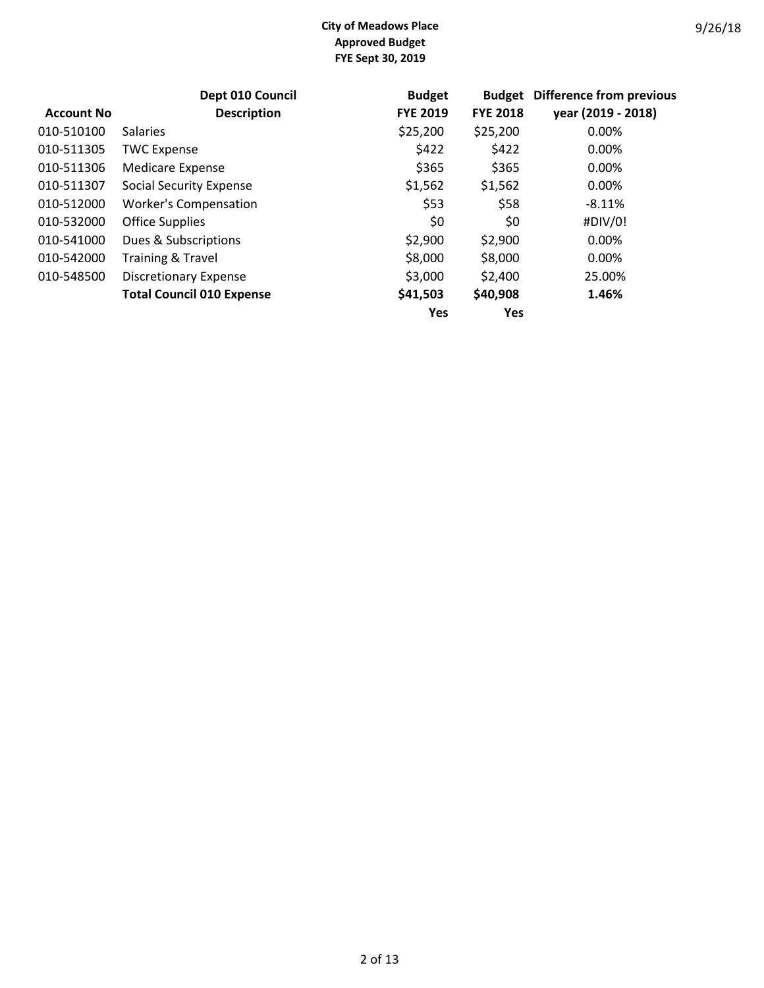|                   | Dept 010 Council                 | <b>Budget</b>   | <b>Budget</b>   | <b>Difference from previous</b> |
|-------------------|----------------------------------|-----------------|-----------------|---------------------------------|
| <b>Account No</b> | <b>Description</b>               | <b>FYE 2019</b> | <b>FYE 2018</b> | year (2019 - 2018)              |
| 010-510100        | <b>Salaries</b>                  | \$25,200        | \$25,200        | 0.00%                           |
| 010-511305        | <b>TWC Expense</b>               | \$422           | \$422           | 0.00%                           |
| 010-511306        | <b>Medicare Expense</b>          | \$365           | \$365           | 0.00%                           |
| 010-511307        | <b>Social Security Expense</b>   | \$1,562         | \$1,562         | 0.00%                           |
| 010-512000        | <b>Worker's Compensation</b>     | \$53            | \$58            | $-8.11%$                        |
| 010-532000        | <b>Office Supplies</b>           | \$0             | \$0             | #DIV/0!                         |
| 010-541000        | Dues & Subscriptions             | \$2,900         | \$2,900         | 0.00%                           |
| 010-542000        | <b>Training &amp; Travel</b>     | \$8,000         | \$8,000         | 0.00%                           |
| 010-548500        | <b>Discretionary Expense</b>     | \$3,000         | \$2,400         | 25.00%                          |
|                   | <b>Total Council 010 Expense</b> | \$41,503        | \$40,908        | 1.46%                           |
|                   |                                  | <b>Yes</b>      | Yes             |                                 |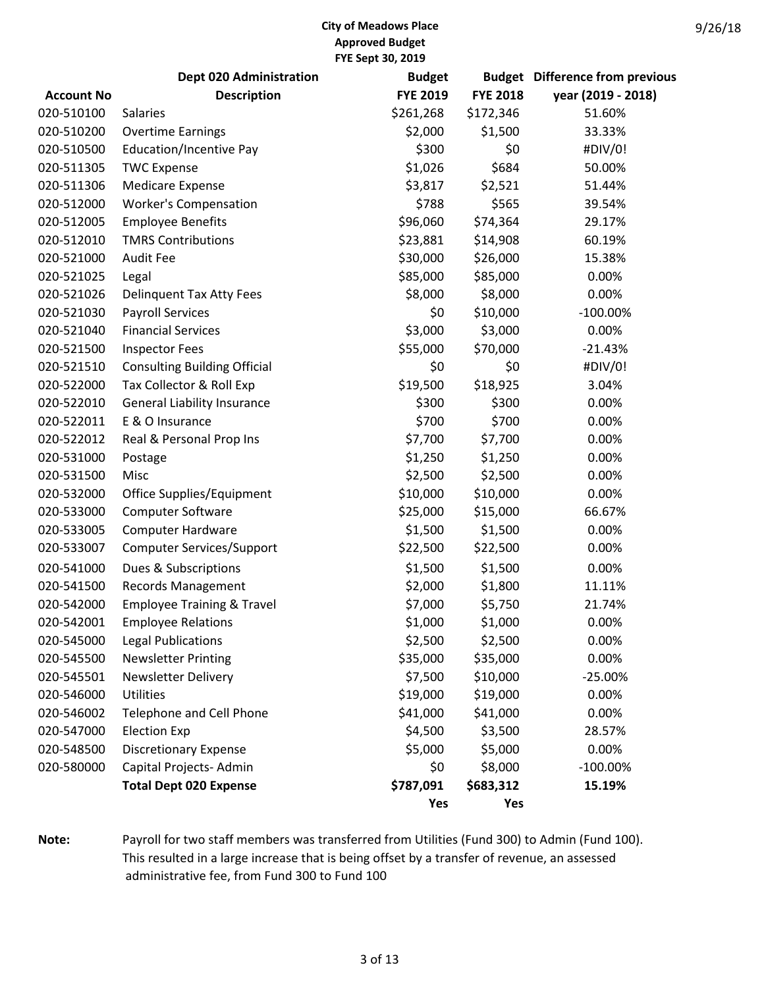|                   | <b>Dept 020 Administration</b>        | <b>Budget</b>   |                 | <b>Budget</b> Difference from previous |
|-------------------|---------------------------------------|-----------------|-----------------|----------------------------------------|
| <b>Account No</b> | <b>Description</b>                    | <b>FYE 2019</b> | <b>FYE 2018</b> | year (2019 - 2018)                     |
| 020-510100        | <b>Salaries</b>                       | \$261,268       | \$172,346       | 51.60%                                 |
| 020-510200        | <b>Overtime Earnings</b>              | \$2,000         | \$1,500         | 33.33%                                 |
| 020-510500        | <b>Education/Incentive Pay</b>        | \$300           | \$0             | #DIV/0!                                |
| 020-511305        | <b>TWC Expense</b>                    | \$1,026         | \$684           | 50.00%                                 |
| 020-511306        | <b>Medicare Expense</b>               | \$3,817         | \$2,521         | 51.44%                                 |
| 020-512000        | <b>Worker's Compensation</b>          | \$788           | \$565           | 39.54%                                 |
| 020-512005        | <b>Employee Benefits</b>              | \$96,060        | \$74,364        | 29.17%                                 |
| 020-512010        | <b>TMRS Contributions</b>             | \$23,881        | \$14,908        | 60.19%                                 |
| 020-521000        | <b>Audit Fee</b>                      | \$30,000        | \$26,000        | 15.38%                                 |
| 020-521025        | Legal                                 | \$85,000        | \$85,000        | 0.00%                                  |
| 020-521026        | <b>Delinquent Tax Atty Fees</b>       | \$8,000         | \$8,000         | 0.00%                                  |
| 020-521030        | <b>Payroll Services</b>               | \$0             | \$10,000        | $-100.00\%$                            |
| 020-521040        | <b>Financial Services</b>             | \$3,000         | \$3,000         | 0.00%                                  |
| 020-521500        | <b>Inspector Fees</b>                 | \$55,000        | \$70,000        | $-21.43%$                              |
| 020-521510        | <b>Consulting Building Official</b>   | \$0             | \$0             | #DIV/0!                                |
| 020-522000        | Tax Collector & Roll Exp              | \$19,500        | \$18,925        | 3.04%                                  |
| 020-522010        | <b>General Liability Insurance</b>    | \$300           | \$300           | 0.00%                                  |
| 020-522011        | E & O Insurance                       | \$700           | \$700           | 0.00%                                  |
| 020-522012        | Real & Personal Prop Ins              | \$7,700         | \$7,700         | 0.00%                                  |
| 020-531000        | Postage                               | \$1,250         | \$1,250         | 0.00%                                  |
| 020-531500        | Misc                                  | \$2,500         | \$2,500         | 0.00%                                  |
| 020-532000        | Office Supplies/Equipment             | \$10,000        | \$10,000        | 0.00%                                  |
| 020-533000        | <b>Computer Software</b>              | \$25,000        | \$15,000        | 66.67%                                 |
| 020-533005        | <b>Computer Hardware</b>              | \$1,500         | \$1,500         | 0.00%                                  |
| 020-533007        | <b>Computer Services/Support</b>      | \$22,500        | \$22,500        | 0.00%                                  |
| 020-541000        | Dues & Subscriptions                  | \$1,500         | \$1,500         | 0.00%                                  |
| 020-541500        | <b>Records Management</b>             | \$2,000         | \$1,800         | 11.11%                                 |
| 020-542000        | <b>Employee Training &amp; Travel</b> | \$7,000         | \$5,750         | 21.74%                                 |
| 020-542001        | <b>Employee Relations</b>             | \$1,000         | \$1,000         | 0.00%                                  |
| 020-545000        | <b>Legal Publications</b>             | \$2,500         | \$2,500         | 0.00%                                  |
| 020-545500        | <b>Newsletter Printing</b>            | \$35,000        | \$35,000        | 0.00%                                  |
| 020-545501        | <b>Newsletter Delivery</b>            | \$7,500         | \$10,000        | $-25.00%$                              |
| 020-546000        | Utilities                             | \$19,000        | \$19,000        | 0.00%                                  |
| 020-546002        | Telephone and Cell Phone              | \$41,000        | \$41,000        | 0.00%                                  |
| 020-547000        | <b>Election Exp</b>                   | \$4,500         | \$3,500         | 28.57%                                 |
| 020-548500        | <b>Discretionary Expense</b>          | \$5,000         | \$5,000         | 0.00%                                  |
| 020-580000        | Capital Projects- Admin               | \$0             | \$8,000         | $-100.00\%$                            |
|                   | <b>Total Dept 020 Expense</b>         | \$787,091       | \$683,312       | 15.19%                                 |
|                   |                                       | Yes             | Yes             |                                        |

**Note:** Payroll for two staff members was transferred from Utilities (Fund 300) to Admin (Fund 100). This resulted in a large increase that is being offset by a transfer of revenue, an assessed administrative fee, from Fund 300 to Fund 100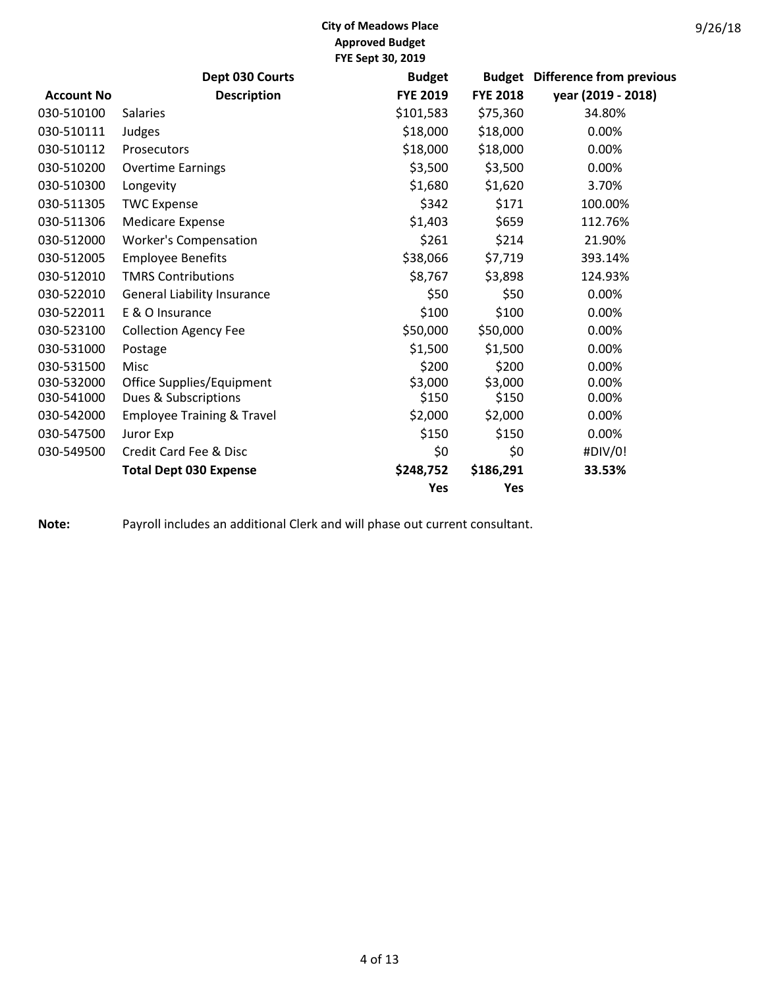|                   | Dept 030 Courts                       | <b>Budget</b>   |                 | <b>Budget</b> Difference from previous |
|-------------------|---------------------------------------|-----------------|-----------------|----------------------------------------|
| <b>Account No</b> | <b>Description</b>                    | <b>FYE 2019</b> | <b>FYE 2018</b> | year (2019 - 2018)                     |
| 030-510100        | <b>Salaries</b>                       | \$101,583       | \$75,360        | 34.80%                                 |
| 030-510111        | Judges                                | \$18,000        | \$18,000        | 0.00%                                  |
| 030-510112        | Prosecutors                           | \$18,000        | \$18,000        | 0.00%                                  |
| 030-510200        | <b>Overtime Earnings</b>              | \$3,500         | \$3,500         | 0.00%                                  |
| 030-510300        | Longevity                             | \$1,680         | \$1,620         | 3.70%                                  |
| 030-511305        | <b>TWC Expense</b>                    | \$342           | \$171           | 100.00%                                |
| 030-511306        | <b>Medicare Expense</b>               | \$1,403         | \$659           | 112.76%                                |
| 030-512000        | <b>Worker's Compensation</b>          | \$261           | \$214           | 21.90%                                 |
| 030-512005        | <b>Employee Benefits</b>              | \$38,066        | \$7,719         | 393.14%                                |
| 030-512010        | <b>TMRS Contributions</b>             | \$8,767         | \$3,898         | 124.93%                                |
| 030-522010        | <b>General Liability Insurance</b>    | \$50            | \$50            | 0.00%                                  |
| 030-522011        | E & O Insurance                       | \$100           | \$100           | 0.00%                                  |
| 030-523100        | <b>Collection Agency Fee</b>          | \$50,000        | \$50,000        | 0.00%                                  |
| 030-531000        | Postage                               | \$1,500         | \$1,500         | 0.00%                                  |
| 030-531500        | Misc                                  | \$200           | \$200           | 0.00%                                  |
| 030-532000        | Office Supplies/Equipment             | \$3,000         | \$3,000         | 0.00%                                  |
| 030-541000        | Dues & Subscriptions                  | \$150           | \$150           | 0.00%                                  |
| 030-542000        | <b>Employee Training &amp; Travel</b> | \$2,000         | \$2,000         | 0.00%                                  |
| 030-547500        | Juror Exp                             | \$150           | \$150           | 0.00%                                  |
| 030-549500        | Credit Card Fee & Disc                | \$0             | \$0             | #DIV/0!                                |
|                   | <b>Total Dept 030 Expense</b>         | \$248,752       | \$186,291       | 33.53%                                 |
|                   |                                       | Yes             | Yes             |                                        |

**Note:** Payroll includes an additional Clerk and will phase out current consultant.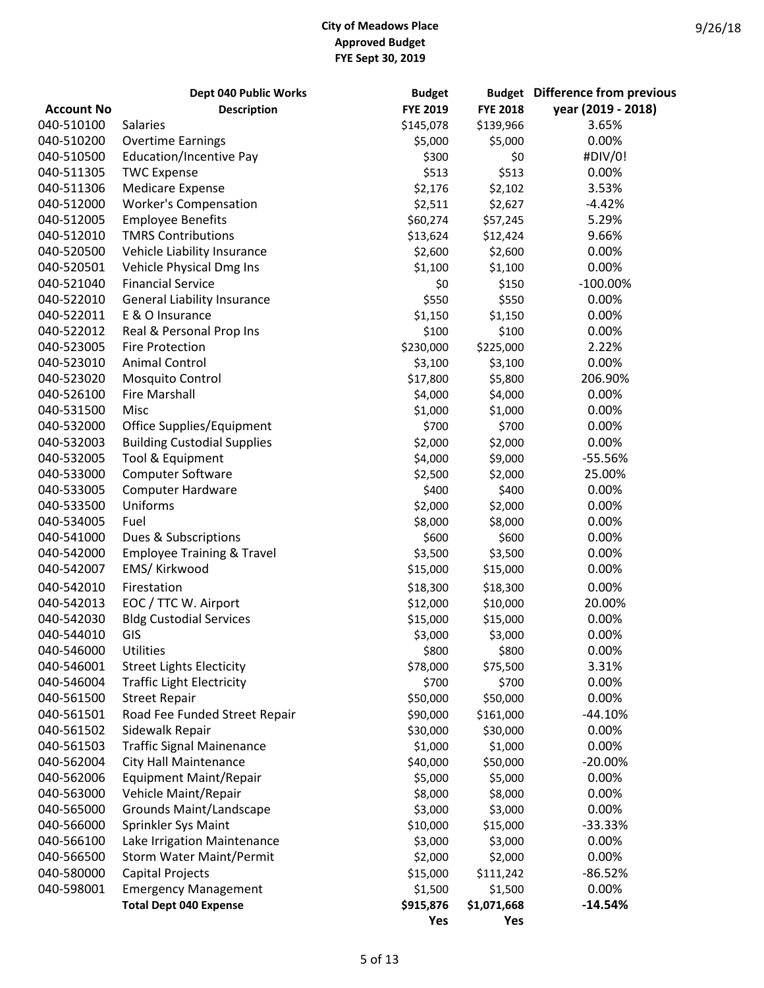|                   | Dept 040 Public Works                 | <b>Budget</b>   |                 | <b>Budget</b> Difference from previous |
|-------------------|---------------------------------------|-----------------|-----------------|----------------------------------------|
| <b>Account No</b> | <b>Description</b>                    | <b>FYE 2019</b> | <b>FYE 2018</b> | year (2019 - 2018)                     |
| 040-510100        | <b>Salaries</b>                       | \$145,078       | \$139,966       | 3.65%                                  |
| 040-510200        | <b>Overtime Earnings</b>              | \$5,000         | \$5,000         | 0.00%                                  |
| 040-510500        | Education/Incentive Pay               | \$300           | \$0             | #DIV/0!                                |
| 040-511305        | <b>TWC Expense</b>                    | \$513           | \$513           | 0.00%                                  |
| 040-511306        | <b>Medicare Expense</b>               | \$2,176         | \$2,102         | 3.53%                                  |
| 040-512000        | <b>Worker's Compensation</b>          | \$2,511         | \$2,627         | $-4.42%$                               |
| 040-512005        | <b>Employee Benefits</b>              | \$60,274        | \$57,245        | 5.29%                                  |
| 040-512010        | <b>TMRS Contributions</b>             | \$13,624        | \$12,424        | 9.66%                                  |
| 040-520500        | Vehicle Liability Insurance           | \$2,600         | \$2,600         | 0.00%                                  |
| 040-520501        | Vehicle Physical Dmg Ins              | \$1,100         | \$1,100         | 0.00%                                  |
| 040-521040        | <b>Financial Service</b>              | \$0             | \$150           | $-100.00\%$                            |
| 040-522010        | <b>General Liability Insurance</b>    | \$550           | \$550           | 0.00%                                  |
| 040-522011        | E & O Insurance                       | \$1,150         | \$1,150         | 0.00%                                  |
| 040-522012        | Real & Personal Prop Ins              | \$100           | \$100           | 0.00%                                  |
| 040-523005        | <b>Fire Protection</b>                | \$230,000       | \$225,000       | 2.22%                                  |
| 040-523010        | <b>Animal Control</b>                 | \$3,100         | \$3,100         | 0.00%                                  |
| 040-523020        | Mosquito Control                      | \$17,800        | \$5,800         | 206.90%                                |
| 040-526100        | <b>Fire Marshall</b>                  | \$4,000         | \$4,000         | 0.00%                                  |
| 040-531500        | Misc                                  | \$1,000         | \$1,000         | 0.00%                                  |
| 040-532000        |                                       | \$700           | \$700           | 0.00%                                  |
|                   | Office Supplies/Equipment             |                 |                 | 0.00%                                  |
| 040-532003        | <b>Building Custodial Supplies</b>    | \$2,000         | \$2,000         |                                        |
| 040-532005        | Tool & Equipment                      | \$4,000         | \$9,000         | -55.56%                                |
| 040-533000        | Computer Software                     | \$2,500         | \$2,000         | 25.00%                                 |
| 040-533005        | <b>Computer Hardware</b>              | \$400           | \$400           | 0.00%                                  |
| 040-533500        | Uniforms                              | \$2,000         | \$2,000         | 0.00%                                  |
| 040-534005        | Fuel                                  | \$8,000         | \$8,000         | 0.00%                                  |
| 040-541000        | Dues & Subscriptions                  | \$600           | \$600           | 0.00%                                  |
| 040-542000        | <b>Employee Training &amp; Travel</b> | \$3,500         | \$3,500         | 0.00%                                  |
| 040-542007        | EMS/ Kirkwood                         | \$15,000        | \$15,000        | 0.00%                                  |
| 040-542010        | Firestation                           | \$18,300        | \$18,300        | 0.00%                                  |
| 040-542013        | EOC / TTC W. Airport                  | \$12,000        | \$10,000        | 20.00%                                 |
| 040-542030        | <b>Bldg Custodial Services</b>        | \$15,000        | \$15,000        | 0.00%                                  |
| 040-544010        | GIS                                   | \$3,000         | \$3,000         | 0.00%                                  |
| 040-546000        | <b>Utilities</b>                      | \$800           | \$800           | $0.00\%$                               |
| 040-546001        | <b>Street Lights Electicity</b>       | \$78,000        | \$75,500        | 3.31%                                  |
| 040-546004        | <b>Traffic Light Electricity</b>      | \$700           | \$700           | 0.00%                                  |
| 040-561500        | <b>Street Repair</b>                  | \$50,000        | \$50,000        | 0.00%                                  |
| 040-561501        | Road Fee Funded Street Repair         | \$90,000        | \$161,000       | $-44.10%$                              |
| 040-561502        | Sidewalk Repair                       | \$30,000        | \$30,000        | 0.00%                                  |
| 040-561503        | <b>Traffic Signal Mainenance</b>      | \$1,000         | \$1,000         | 0.00%                                  |
| 040-562004        | <b>City Hall Maintenance</b>          | \$40,000        | \$50,000        | $-20.00%$                              |
| 040-562006        | <b>Equipment Maint/Repair</b>         | \$5,000         | \$5,000         | 0.00%                                  |
| 040-563000        | Vehicle Maint/Repair                  | \$8,000         | \$8,000         | 0.00%                                  |
| 040-565000        | Grounds Maint/Landscape               | \$3,000         | \$3,000         | 0.00%                                  |
| 040-566000        | Sprinkler Sys Maint                   | \$10,000        | \$15,000        | $-33.33%$                              |
| 040-566100        | Lake Irrigation Maintenance           | \$3,000         | \$3,000         | 0.00%                                  |
| 040-566500        | <b>Storm Water Maint/Permit</b>       | \$2,000         | \$2,000         | 0.00%                                  |
| 040-580000        | <b>Capital Projects</b>               | \$15,000        | \$111,242       | -86.52%                                |
| 040-598001        | <b>Emergency Management</b>           | \$1,500         | \$1,500         | 0.00%                                  |
|                   | <b>Total Dept 040 Expense</b>         | \$915,876       | \$1,071,668     | $-14.54%$                              |
|                   |                                       | Yes             | Yes             |                                        |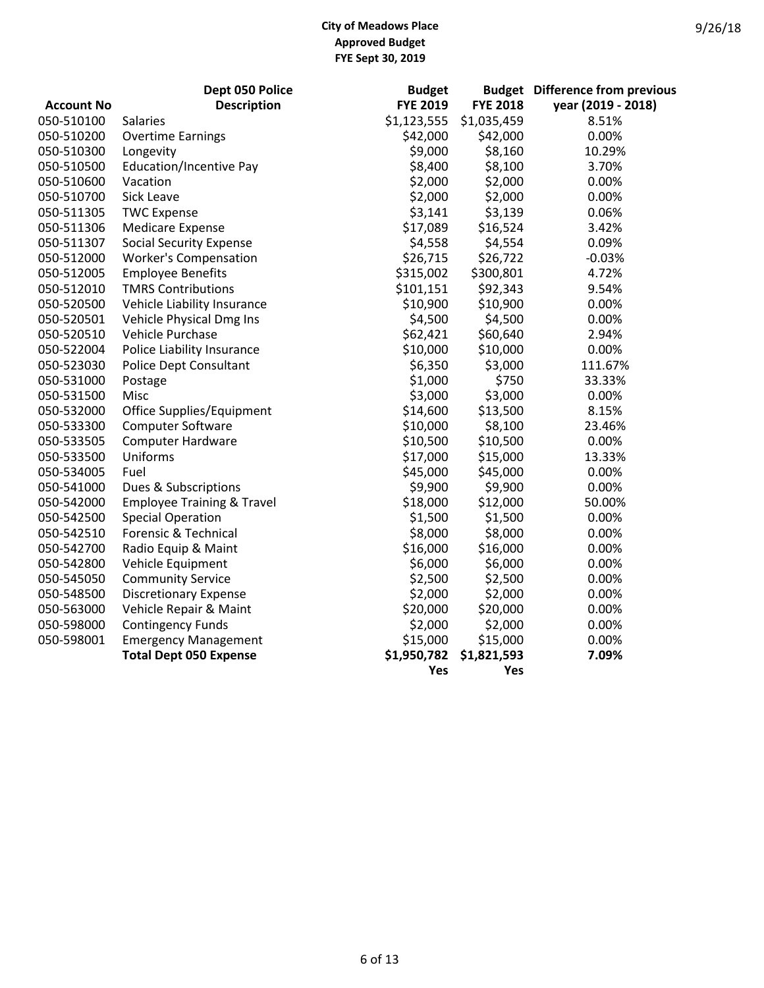|                   | Dept 050 Police                       | <b>Budget</b>   |                 | <b>Budget</b> Difference from previous |
|-------------------|---------------------------------------|-----------------|-----------------|----------------------------------------|
| <b>Account No</b> | <b>Description</b>                    | <b>FYE 2019</b> | <b>FYE 2018</b> | year (2019 - 2018)                     |
| 050-510100        | <b>Salaries</b>                       | \$1,123,555     | \$1,035,459     | 8.51%                                  |
| 050-510200        | <b>Overtime Earnings</b>              | \$42,000        | \$42,000        | 0.00%                                  |
| 050-510300        | Longevity                             | \$9,000         | \$8,160         | 10.29%                                 |
| 050-510500        | <b>Education/Incentive Pay</b>        | \$8,400         | \$8,100         | 3.70%                                  |
| 050-510600        | Vacation                              | \$2,000         | \$2,000         | 0.00%                                  |
| 050-510700        | <b>Sick Leave</b>                     | \$2,000         | \$2,000         | 0.00%                                  |
| 050-511305        | <b>TWC Expense</b>                    | \$3,141         | \$3,139         | 0.06%                                  |
| 050-511306        | <b>Medicare Expense</b>               | \$17,089        | \$16,524        | 3.42%                                  |
| 050-511307        | <b>Social Security Expense</b>        | \$4,558         | \$4,554         | 0.09%                                  |
| 050-512000        | <b>Worker's Compensation</b>          | \$26,715        | \$26,722        | $-0.03%$                               |
| 050-512005        | <b>Employee Benefits</b>              | \$315,002       | \$300,801       | 4.72%                                  |
| 050-512010        | <b>TMRS Contributions</b>             | \$101,151       | \$92,343        | 9.54%                                  |
| 050-520500        | Vehicle Liability Insurance           | \$10,900        | \$10,900        | 0.00%                                  |
| 050-520501        | Vehicle Physical Dmg Ins              | \$4,500         | \$4,500         | 0.00%                                  |
| 050-520510        | Vehicle Purchase                      | \$62,421        | \$60,640        | 2.94%                                  |
| 050-522004        | Police Liability Insurance            | \$10,000        | \$10,000        | 0.00%                                  |
| 050-523030        | Police Dept Consultant                | \$6,350         | \$3,000         | 111.67%                                |
| 050-531000        | Postage                               | \$1,000         | \$750           | 33.33%                                 |
| 050-531500        | Misc                                  | \$3,000         | \$3,000         | 0.00%                                  |
| 050-532000        | Office Supplies/Equipment             | \$14,600        | \$13,500        | 8.15%                                  |
| 050-533300        | Computer Software                     | \$10,000        | \$8,100         | 23.46%                                 |
| 050-533505        | <b>Computer Hardware</b>              | \$10,500        | \$10,500        | 0.00%                                  |
| 050-533500        | Uniforms                              | \$17,000        | \$15,000        | 13.33%                                 |
| 050-534005        | Fuel                                  | \$45,000        | \$45,000        | 0.00%                                  |
| 050-541000        | Dues & Subscriptions                  | \$9,900         | \$9,900         | 0.00%                                  |
| 050-542000        | <b>Employee Training &amp; Travel</b> | \$18,000        | \$12,000        | 50.00%                                 |
| 050-542500        | <b>Special Operation</b>              | \$1,500         | \$1,500         | 0.00%                                  |
| 050-542510        | Forensic & Technical                  | \$8,000         | \$8,000         | 0.00%                                  |
| 050-542700        | Radio Equip & Maint                   | \$16,000        | \$16,000        | 0.00%                                  |
| 050-542800        | Vehicle Equipment                     | \$6,000         | \$6,000         | 0.00%                                  |
| 050-545050        | <b>Community Service</b>              | \$2,500         | \$2,500         | 0.00%                                  |
| 050-548500        | <b>Discretionary Expense</b>          | \$2,000         | \$2,000         | 0.00%                                  |
| 050-563000        | Vehicle Repair & Maint                | \$20,000        | \$20,000        | 0.00%                                  |
| 050-598000        | <b>Contingency Funds</b>              | \$2,000         | \$2,000         | 0.00%                                  |
| 050-598001        | <b>Emergency Management</b>           | \$15,000        | \$15,000        | 0.00%                                  |
|                   | <b>Total Dept 050 Expense</b>         | \$1,950,782     | \$1,821,593     | 7.09%                                  |
|                   |                                       | Yes             | Yes             |                                        |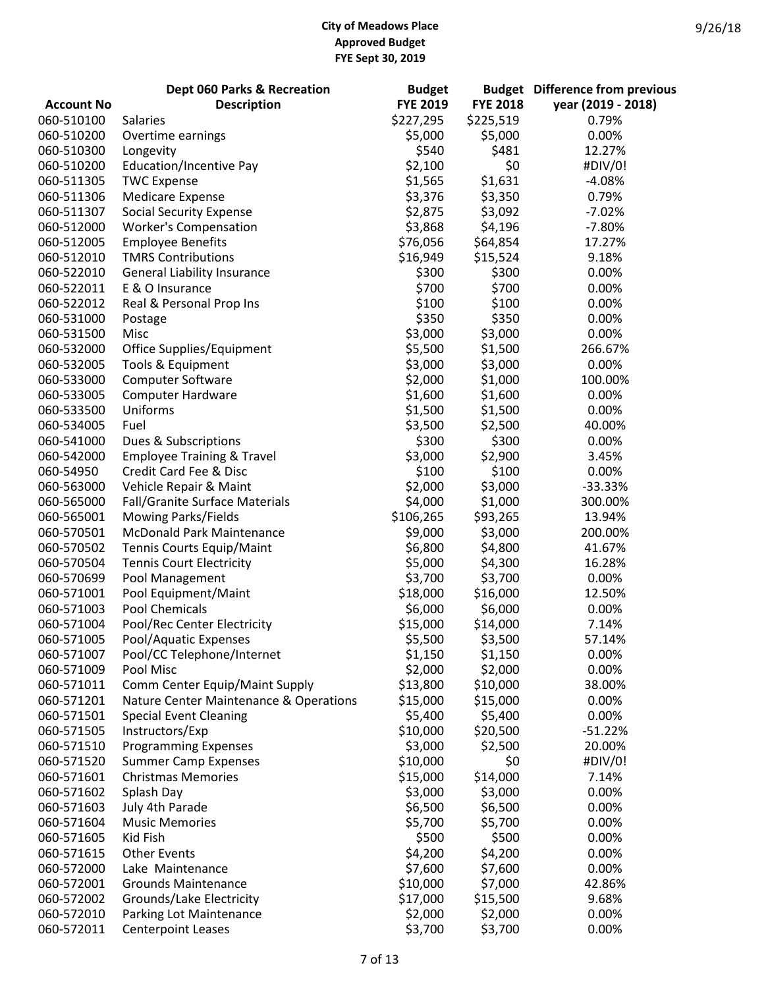|                   | Dept 060 Parks & Recreation            | <b>Budget</b>   |                 | <b>Budget</b> Difference from previous |
|-------------------|----------------------------------------|-----------------|-----------------|----------------------------------------|
| <b>Account No</b> | <b>Description</b>                     | <b>FYE 2019</b> | <b>FYE 2018</b> | year (2019 - 2018)                     |
| 060-510100        | <b>Salaries</b>                        | \$227,295       | \$225,519       | 0.79%                                  |
| 060-510200        | Overtime earnings                      | \$5,000         | \$5,000         | 0.00%                                  |
| 060-510300        | Longevity                              | \$540           | \$481           | 12.27%                                 |
| 060-510200        | Education/Incentive Pay                | \$2,100         | \$0             | #DIV/0!                                |
| 060-511305        | <b>TWC Expense</b>                     | \$1,565         | \$1,631         | $-4.08%$                               |
| 060-511306        | <b>Medicare Expense</b>                | \$3,376         | \$3,350         | 0.79%                                  |
| 060-511307        | <b>Social Security Expense</b>         | \$2,875         | \$3,092         | $-7.02%$                               |
| 060-512000        | <b>Worker's Compensation</b>           | \$3,868         | \$4,196         | $-7.80%$                               |
|                   |                                        |                 |                 |                                        |
| 060-512005        | <b>Employee Benefits</b>               | \$76,056        | \$64,854        | 17.27%                                 |
| 060-512010        | <b>TMRS Contributions</b>              | \$16,949        | \$15,524        | 9.18%                                  |
| 060-522010        | <b>General Liability Insurance</b>     | \$300           | \$300           | 0.00%                                  |
| 060-522011        | E & O Insurance                        | \$700           | \$700           | 0.00%                                  |
| 060-522012        | Real & Personal Prop Ins               | \$100           | \$100           | 0.00%                                  |
| 060-531000        | Postage                                | \$350           | \$350           | 0.00%                                  |
| 060-531500        | Misc                                   | \$3,000         | \$3,000         | 0.00%                                  |
| 060-532000        | Office Supplies/Equipment              | \$5,500         | \$1,500         | 266.67%                                |
| 060-532005        | Tools & Equipment                      | \$3,000         | \$3,000         | 0.00%                                  |
| 060-533000        | Computer Software                      | \$2,000         | \$1,000         | 100.00%                                |
| 060-533005        | <b>Computer Hardware</b>               | \$1,600         | \$1,600         | 0.00%                                  |
| 060-533500        | Uniforms                               | \$1,500         | \$1,500         | 0.00%                                  |
| 060-534005        | Fuel                                   | \$3,500         | \$2,500         | 40.00%                                 |
| 060-541000        | Dues & Subscriptions                   | \$300           | \$300           | 0.00%                                  |
| 060-542000        | <b>Employee Training &amp; Travel</b>  | \$3,000         | \$2,900         | 3.45%                                  |
| 060-54950         | Credit Card Fee & Disc                 | \$100           | \$100           | 0.00%                                  |
| 060-563000        | Vehicle Repair & Maint                 | \$2,000         | \$3,000         | $-33.33%$                              |
|                   |                                        |                 |                 |                                        |
| 060-565000        | Fall/Granite Surface Materials         | \$4,000         | \$1,000         | 300.00%                                |
| 060-565001        | Mowing Parks/Fields                    | \$106,265       | \$93,265        | 13.94%                                 |
| 060-570501        | <b>McDonald Park Maintenance</b>       | \$9,000         | \$3,000         | 200.00%                                |
| 060-570502        | Tennis Courts Equip/Maint              | \$6,800         | \$4,800         | 41.67%                                 |
| 060-570504        | <b>Tennis Court Electricity</b>        | \$5,000         | \$4,300         | 16.28%                                 |
| 060-570699        | Pool Management                        | \$3,700         | \$3,700         | 0.00%                                  |
| 060-571001        | Pool Equipment/Maint                   | \$18,000        | \$16,000        | 12.50%                                 |
| 060-571003        | <b>Pool Chemicals</b>                  | \$6,000         | \$6,000         | 0.00%                                  |
| 060-571004        | Pool/Rec Center Electricity            | \$15,000        | \$14,000        | 7.14%                                  |
| 060-571005        | Pool/Aquatic Expenses                  | \$5,500         | \$3,500         | 57.14%                                 |
| 060-571007        | Pool/CC Telephone/Internet             | \$1,150         | \$1,150         | 0.00%                                  |
| 060-571009        | Pool Misc                              | \$2,000         | \$2,000         | 0.00%                                  |
| 060-571011        | Comm Center Equip/Maint Supply         | \$13,800        | \$10,000        | 38.00%                                 |
| 060-571201        | Nature Center Maintenance & Operations | \$15,000        | \$15,000        | 0.00%                                  |
| 060-571501        | <b>Special Event Cleaning</b>          | \$5,400         | \$5,400         | 0.00%                                  |
| 060-571505        | Instructors/Exp                        | \$10,000        | \$20,500        | $-51.22%$                              |
| 060-571510        | <b>Programming Expenses</b>            | \$3,000         | \$2,500         | 20.00%                                 |
| 060-571520        | <b>Summer Camp Expenses</b>            | \$10,000        | \$0             | #DIV/0!                                |
| 060-571601        | <b>Christmas Memories</b>              | \$15,000        | \$14,000        | 7.14%                                  |
| 060-571602        | Splash Day                             | \$3,000         | \$3,000         | 0.00%                                  |
| 060-571603        | July 4th Parade                        | \$6,500         | \$6,500         | 0.00%                                  |
|                   |                                        |                 |                 |                                        |
| 060-571604        | <b>Music Memories</b>                  | \$5,700         | \$5,700         | 0.00%                                  |
| 060-571605        | Kid Fish                               | \$500           | \$500           | 0.00%                                  |
| 060-571615        | <b>Other Events</b>                    | \$4,200         | \$4,200         | 0.00%                                  |
| 060-572000        | Lake Maintenance                       | \$7,600         | \$7,600         | 0.00%                                  |
| 060-572001        | <b>Grounds Maintenance</b>             | \$10,000        | \$7,000         | 42.86%                                 |
| 060-572002        | Grounds/Lake Electricity               | \$17,000        | \$15,500        | 9.68%                                  |
| 060-572010        | Parking Lot Maintenance                | \$2,000         | \$2,000         | 0.00%                                  |
| 060-572011        | <b>Centerpoint Leases</b>              | \$3,700         | \$3,700         | 0.00%                                  |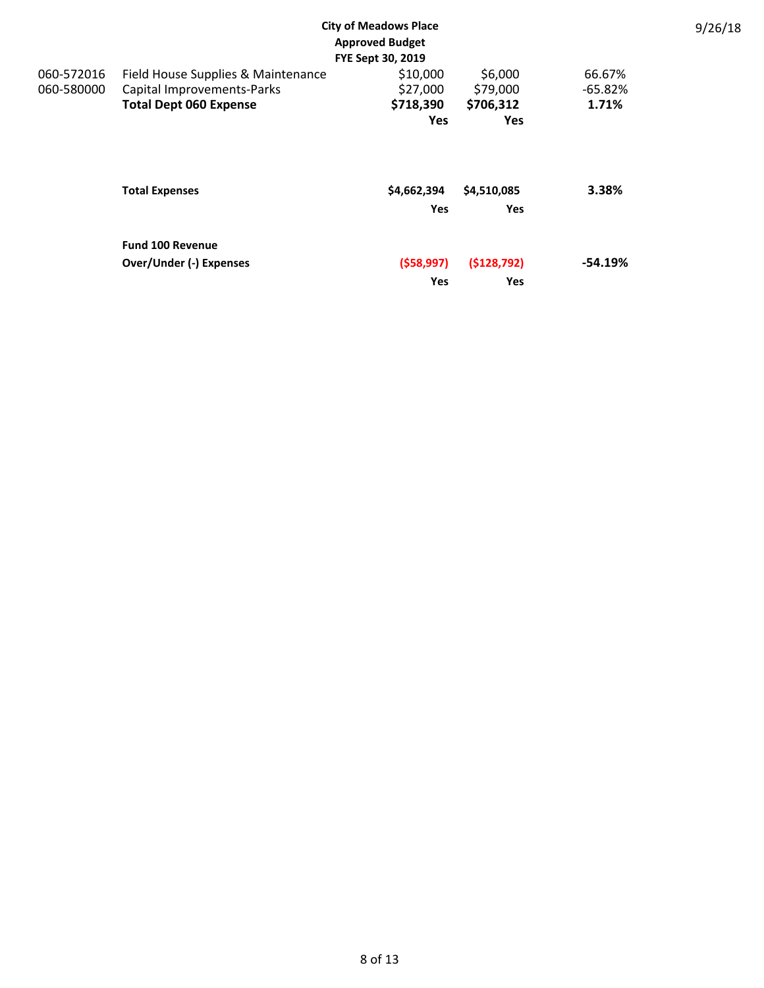| <b>City of Meadows Place</b><br><b>Approved Budget</b><br>FYE Sept 30, 2019 |                                                                                                   |                                                 |                                                |                              |  |
|-----------------------------------------------------------------------------|---------------------------------------------------------------------------------------------------|-------------------------------------------------|------------------------------------------------|------------------------------|--|
| 060-572016<br>060-580000                                                    | Field House Supplies & Maintenance<br>Capital Improvements-Parks<br><b>Total Dept 060 Expense</b> | \$10,000<br>\$27,000<br>\$718,390<br><b>Yes</b> | \$6,000<br>\$79,000<br>\$706,312<br><b>Yes</b> | 66.67%<br>$-65.82%$<br>1.71% |  |
|                                                                             | <b>Total Expenses</b>                                                                             | \$4,662,394<br><b>Yes</b>                       | \$4,510,085<br>Yes                             | 3.38%                        |  |
|                                                                             | <b>Fund 100 Revenue</b><br><b>Over/Under (-) Expenses</b>                                         | (558, 997)<br>Yes                               | ( \$128, 792)<br>Yes                           | $-54.19%$                    |  |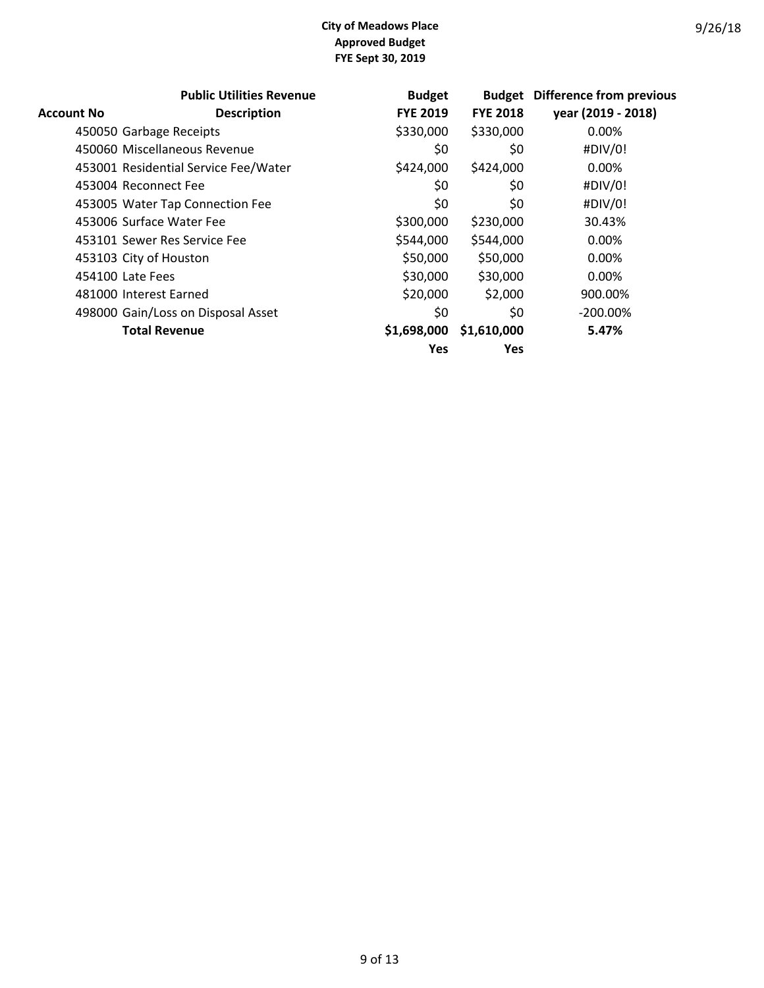|                   | <b>Public Utilities Revenue</b>      | <b>Budget</b>   |                 | <b>Budget</b> Difference from previous |
|-------------------|--------------------------------------|-----------------|-----------------|----------------------------------------|
| <b>Account No</b> | <b>Description</b>                   | <b>FYE 2019</b> | <b>FYE 2018</b> | year (2019 - 2018)                     |
|                   | 450050 Garbage Receipts              | \$330,000       | \$330,000       | 0.00%                                  |
|                   | 450060 Miscellaneous Revenue         | \$0             | \$0             | #DIV/0!                                |
|                   | 453001 Residential Service Fee/Water | \$424,000       | \$424,000       | 0.00%                                  |
|                   | 453004 Reconnect Fee                 | \$0             | \$0             | #DIV/0!                                |
|                   | 453005 Water Tap Connection Fee      | \$0             | \$0             | #DIV/0!                                |
|                   | 453006 Surface Water Fee             | \$300,000       | \$230,000       | 30.43%                                 |
|                   | 453101 Sewer Res Service Fee         | \$544,000       | \$544,000       | 0.00%                                  |
|                   | 453103 City of Houston               | \$50,000        | \$50,000        | 0.00%                                  |
|                   | 454100 Late Fees                     | \$30,000        | \$30,000        | 0.00%                                  |
|                   | 481000 Interest Earned               | \$20,000        | \$2,000         | 900.00%                                |
|                   | 498000 Gain/Loss on Disposal Asset   | \$0             | \$0             | $-200.00\%$                            |
|                   | <b>Total Revenue</b>                 | \$1,698,000     | \$1,610,000     | 5.47%                                  |
|                   |                                      | <b>Yes</b>      | <b>Yes</b>      |                                        |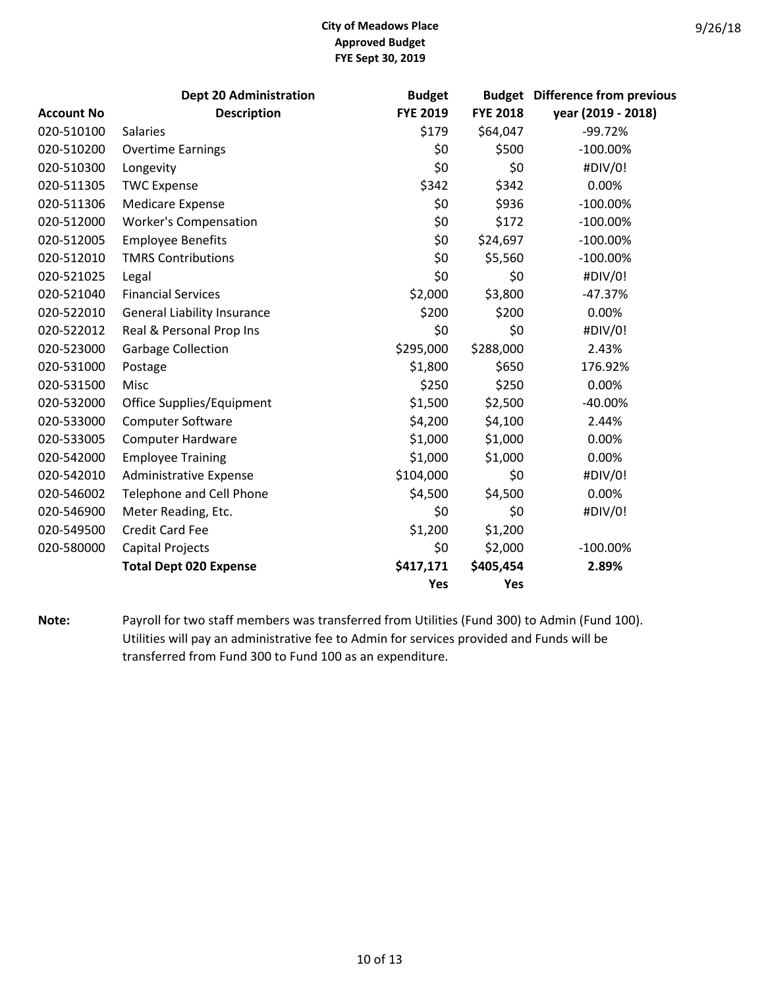|                   | <b>Dept 20 Administration</b>      | <b>Budget</b>   |                 | <b>Budget</b> Difference from previous |
|-------------------|------------------------------------|-----------------|-----------------|----------------------------------------|
| <b>Account No</b> | <b>Description</b>                 | <b>FYE 2019</b> | <b>FYE 2018</b> | year (2019 - 2018)                     |
| 020-510100        | <b>Salaries</b>                    | \$179           | \$64,047        | $-99.72%$                              |
| 020-510200        | <b>Overtime Earnings</b>           | \$0             | \$500           | $-100.00\%$                            |
| 020-510300        | Longevity                          | \$0             | \$0             | #DIV/0!                                |
| 020-511305        | <b>TWC Expense</b>                 | \$342           | \$342           | 0.00%                                  |
| 020-511306        | <b>Medicare Expense</b>            | \$0             | \$936           | $-100.00\%$                            |
| 020-512000        | <b>Worker's Compensation</b>       | \$0             | \$172           | $-100.00\%$                            |
| 020-512005        | <b>Employee Benefits</b>           | \$0             | \$24,697        | $-100.00\%$                            |
| 020-512010        | <b>TMRS Contributions</b>          | \$0             | \$5,560         | $-100.00\%$                            |
| 020-521025        | Legal                              | \$0             | \$0             | #DIV/0!                                |
| 020-521040        | <b>Financial Services</b>          | \$2,000         | \$3,800         | $-47.37%$                              |
| 020-522010        | <b>General Liability Insurance</b> | \$200           | \$200           | 0.00%                                  |
| 020-522012        | Real & Personal Prop Ins           | \$0             | \$0             | #DIV/0!                                |
| 020-523000        | <b>Garbage Collection</b>          | \$295,000       | \$288,000       | 2.43%                                  |
| 020-531000        | Postage                            | \$1,800         | \$650           | 176.92%                                |
| 020-531500        | Misc                               | \$250           | \$250           | 0.00%                                  |
| 020-532000        | Office Supplies/Equipment          | \$1,500         | \$2,500         | $-40.00%$                              |
| 020-533000        | Computer Software                  | \$4,200         | \$4,100         | 2.44%                                  |
| 020-533005        | <b>Computer Hardware</b>           | \$1,000         | \$1,000         | 0.00%                                  |
| 020-542000        | <b>Employee Training</b>           | \$1,000         | \$1,000         | 0.00%                                  |
| 020-542010        | <b>Administrative Expense</b>      | \$104,000       | \$0             | #DIV/0!                                |
| 020-546002        | Telephone and Cell Phone           | \$4,500         | \$4,500         | 0.00%                                  |
| 020-546900        | Meter Reading, Etc.                | \$0             | \$0             | #DIV/0!                                |
| 020-549500        | <b>Credit Card Fee</b>             | \$1,200         | \$1,200         |                                        |
| 020-580000        | <b>Capital Projects</b>            | \$0             | \$2,000         | $-100.00\%$                            |
|                   | <b>Total Dept 020 Expense</b>      | \$417,171       | \$405,454       | 2.89%                                  |
|                   |                                    | Yes             | Yes             |                                        |

**Note:** Payroll for two staff members was transferred from Utilities (Fund 300) to Admin (Fund 100). Utilities will pay an administrative fee to Admin for services provided and Funds will be transferred from Fund 300 to Fund 100 as an expenditure.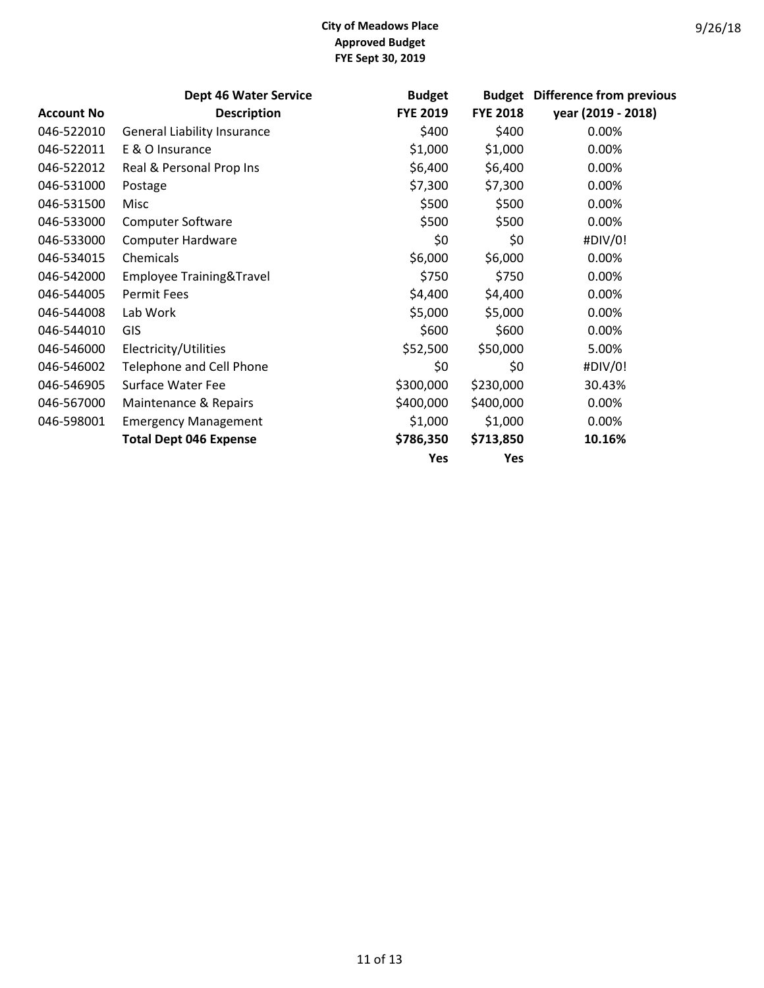|                   | <b>Dept 46 Water Service</b>       | <b>Budget</b>   | <b>Budget</b>   | <b>Difference from previous</b> |
|-------------------|------------------------------------|-----------------|-----------------|---------------------------------|
| <b>Account No</b> | <b>Description</b>                 | <b>FYE 2019</b> | <b>FYE 2018</b> | year (2019 - 2018)              |
| 046-522010        | <b>General Liability Insurance</b> | \$400           | \$400           | 0.00%                           |
| 046-522011        | E & O Insurance                    | \$1,000         | \$1,000         | 0.00%                           |
| 046-522012        | Real & Personal Prop Ins           | \$6,400         | \$6,400         | 0.00%                           |
| 046-531000        | Postage                            | \$7,300         | \$7,300         | 0.00%                           |
| 046-531500        | Misc                               | \$500           | \$500           | 0.00%                           |
| 046-533000        | <b>Computer Software</b>           | \$500           | \$500           | 0.00%                           |
| 046-533000        | <b>Computer Hardware</b>           | \$0             | \$0             | #DIV/0!                         |
| 046-534015        | Chemicals                          | \$6,000         | \$6,000         | 0.00%                           |
| 046-542000        | Employee Training&Travel           | \$750           | \$750           | 0.00%                           |
| 046-544005        | Permit Fees                        | \$4,400         | \$4,400         | 0.00%                           |
| 046-544008        | Lab Work                           | \$5,000         | \$5,000         | 0.00%                           |
| 046-544010        | GIS                                | \$600           | \$600           | 0.00%                           |
| 046-546000        | Electricity/Utilities              | \$52,500        | \$50,000        | 5.00%                           |
| 046-546002        | <b>Telephone and Cell Phone</b>    | \$0             | \$0             | #DIV/0!                         |
| 046-546905        | Surface Water Fee                  | \$300,000       | \$230,000       | 30.43%                          |
| 046-567000        | Maintenance & Repairs              | \$400,000       | \$400,000       | 0.00%                           |
| 046-598001        | <b>Emergency Management</b>        | \$1,000         | \$1,000         | 0.00%                           |
|                   | <b>Total Dept 046 Expense</b>      | \$786,350       | \$713,850       | 10.16%                          |
|                   |                                    | Yes             | Yes             |                                 |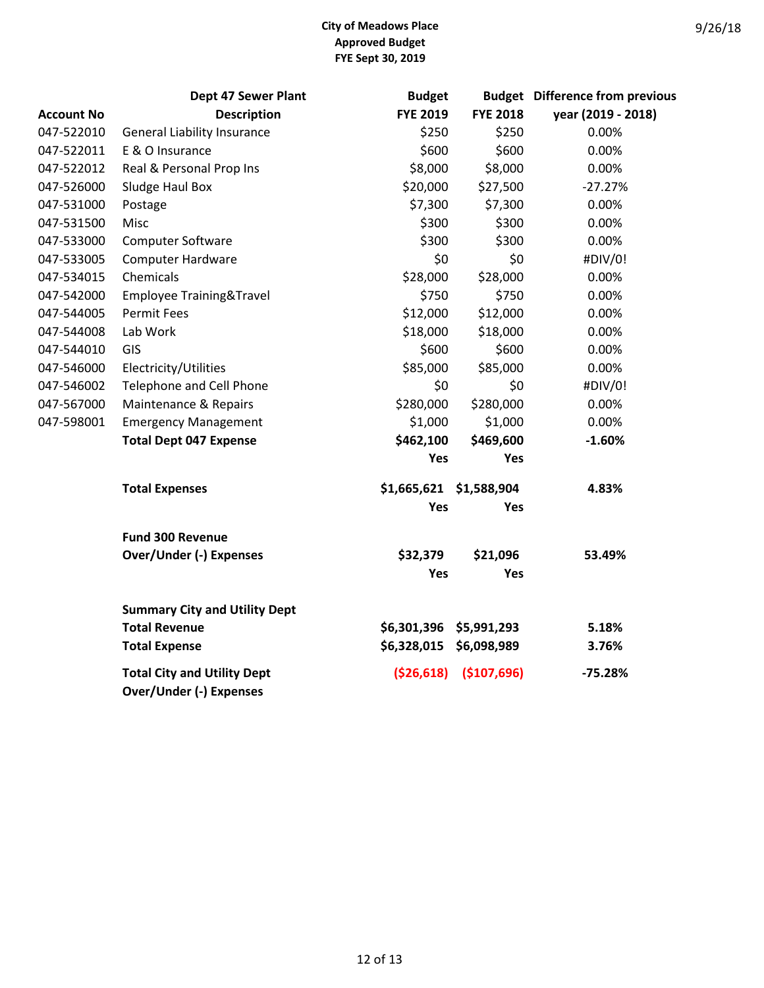|                   | Dept 47 Sewer Plant                                                  | <b>Budget</b>           |                 | <b>Budget</b> Difference from previous |
|-------------------|----------------------------------------------------------------------|-------------------------|-----------------|----------------------------------------|
| <b>Account No</b> | <b>Description</b>                                                   | <b>FYE 2019</b>         | <b>FYE 2018</b> | year (2019 - 2018)                     |
| 047-522010        | <b>General Liability Insurance</b>                                   | \$250                   | \$250           | 0.00%                                  |
| 047-522011        | E & O Insurance                                                      | \$600                   | \$600           | 0.00%                                  |
| 047-522012        | Real & Personal Prop Ins                                             | \$8,000                 | \$8,000         | 0.00%                                  |
| 047-526000        | Sludge Haul Box                                                      | \$20,000                | \$27,500        | $-27.27%$                              |
| 047-531000        | Postage                                                              | \$7,300                 | \$7,300         | 0.00%                                  |
| 047-531500        | Misc                                                                 | \$300                   | \$300           | 0.00%                                  |
| 047-533000        | Computer Software                                                    | \$300                   | \$300           | 0.00%                                  |
| 047-533005        | <b>Computer Hardware</b>                                             | \$0                     | \$0             | #DIV/0!                                |
| 047-534015        | Chemicals                                                            | \$28,000                | \$28,000        | 0.00%                                  |
| 047-542000        | Employee Training&Travel                                             | \$750                   | \$750           | 0.00%                                  |
| 047-544005        | <b>Permit Fees</b>                                                   | \$12,000                | \$12,000        | 0.00%                                  |
| 047-544008        | Lab Work                                                             | \$18,000                | \$18,000        | 0.00%                                  |
| 047-544010        | GIS                                                                  | \$600                   | \$600           | 0.00%                                  |
| 047-546000        | Electricity/Utilities                                                | \$85,000                | \$85,000        | 0.00%                                  |
| 047-546002        | Telephone and Cell Phone                                             | \$0                     | \$0             | #DIV/0!                                |
| 047-567000        | Maintenance & Repairs                                                | \$280,000               | \$280,000       | 0.00%                                  |
| 047-598001        | <b>Emergency Management</b>                                          | \$1,000                 | \$1,000         | 0.00%                                  |
|                   | <b>Total Dept 047 Expense</b>                                        | \$462,100               | \$469,600       | $-1.60%$                               |
|                   |                                                                      | Yes                     | Yes             |                                        |
|                   | <b>Total Expenses</b>                                                | \$1,665,621 \$1,588,904 |                 | 4.83%                                  |
|                   |                                                                      | Yes                     | Yes             |                                        |
|                   | <b>Fund 300 Revenue</b>                                              |                         |                 |                                        |
|                   | <b>Over/Under (-) Expenses</b>                                       | \$32,379                | \$21,096        | 53.49%                                 |
|                   |                                                                      | Yes                     | Yes             |                                        |
|                   | <b>Summary City and Utility Dept</b>                                 |                         |                 |                                        |
|                   | <b>Total Revenue</b>                                                 | \$6,301,396 \$5,991,293 |                 | 5.18%                                  |
|                   | <b>Total Expense</b>                                                 | \$6,328,015 \$6,098,989 |                 | 3.76%                                  |
|                   | <b>Total City and Utility Dept</b><br><b>Over/Under (-) Expenses</b> | ( \$26,618)             | (\$107,696)     | $-75.28%$                              |